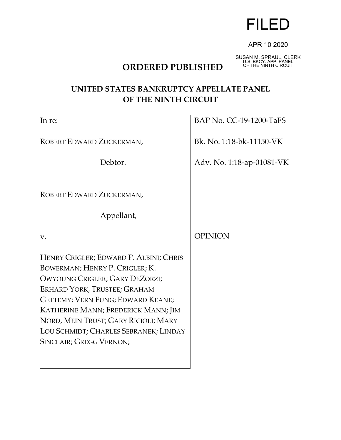

### APR 10 2020

# **ORDERED PUBLISHED**

SUSAN M. SPRAUL, CLERK U.S. BKCY. APP. PANEL

# **UNITED STATES BANKRUPTCY APPELLATE PANEL OF THE NINTH CIRCUIT**

| In re:                                                                                                                                                                                                                                                                                                                             | BAP No. CC-19-1200-TaFS   |
|------------------------------------------------------------------------------------------------------------------------------------------------------------------------------------------------------------------------------------------------------------------------------------------------------------------------------------|---------------------------|
| ROBERT EDWARD ZUCKERMAN,                                                                                                                                                                                                                                                                                                           | Bk. No. 1:18-bk-11150-VK  |
| Debtor.                                                                                                                                                                                                                                                                                                                            | Adv. No. 1:18-ap-01081-VK |
| ROBERT EDWARD ZUCKERMAN,                                                                                                                                                                                                                                                                                                           |                           |
| Appellant,                                                                                                                                                                                                                                                                                                                         |                           |
| V.                                                                                                                                                                                                                                                                                                                                 | <b>OPINION</b>            |
| HENRY CRIGLER; EDWARD P. ALBINI; CHRIS<br>BOWERMAN; HENRY P. CRIGLER; K.<br>OWYOUNG CRIGLER; GARY DEZORZI;<br>ERHARD YORK, TRUSTEE; GRAHAM<br>GETTEMY; VERN FUNG; EDWARD KEANE;<br>KATHERINE MANN; FREDERICK MANN; JIM<br>NORD, MEIN TRUST; GARY RICIOLI; MARY<br>LOU SCHMIDT; CHARLES SEBRANEK; LINDAY<br>SINCLAIR; GREGG VERNON; |                           |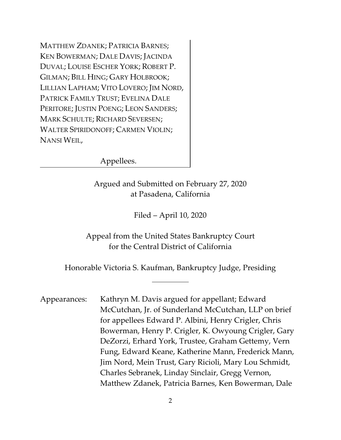MATTHEW ZDANEK; PATRICIA BARNES; KEN BOWERMAN; DALE DAVIS; JACINDA DUVAL; LOUISE ESCHER YORK; ROBERT P. GILMAN; BILL HING; GARY HOLBROOK; LILLIAN LAPHAM; VITO LOVERO; JIM NORD, PATRICK FAMILY TRUST; EVELINA DALE PERITORE; JUSTIN POENG; LEON SANDERS; MARK SCHULTE; RICHARD SEVERSEN; WALTER SPIRIDONOFF; CARMEN VIOLIN; NANSI WEIL,

Appellees.

Argued and Submitted on February 27, 2020 at Pasadena, California

Filed – April 10, 2020

Appeal from the United States Bankruptcy Court for the Central District of California

Honorable Victoria S. Kaufman, Bankruptcy Judge, Presiding

 $\overline{a}$ 

Appearances: Kathryn M. Davis argued for appellant; Edward McCutchan, Jr. of Sunderland McCutchan, LLP on brief for appellees Edward P. Albini, Henry Crigler, Chris Bowerman, Henry P. Crigler, K. Owyoung Crigler, Gary DeZorzi, Erhard York, Trustee, Graham Gettemy, Vern Fung, Edward Keane, Katherine Mann, Frederick Mann, Jim Nord, Mein Trust, Gary Ricioli, Mary Lou Schmidt, Charles Sebranek, Linday Sinclair, Gregg Vernon, Matthew Zdanek, Patricia Barnes, Ken Bowerman, Dale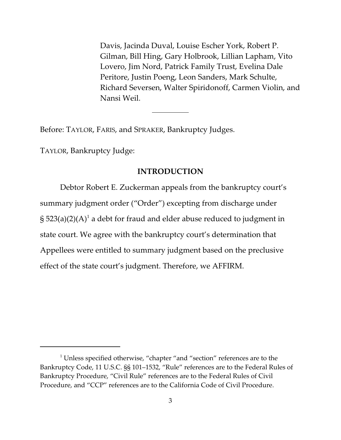Davis, Jacinda Duval, Louise Escher York, Robert P. Gilman, Bill Hing, Gary Holbrook, Lillian Lapham, Vito Lovero, Jim Nord, Patrick Family Trust, Evelina Dale Peritore, Justin Poeng, Leon Sanders, Mark Schulte, Richard Seversen, Walter Spiridonoff, Carmen Violin, and Nansi Weil.

Before: TAYLOR, FARIS, and SPRAKER, Bankruptcy Judges.

 $\overline{a}$ 

TAYLOR, Bankruptcy Judge:

## **INTRODUCTION**

Debtor Robert E. Zuckerman appeals from the bankruptcy court's summary judgment order ("Order") excepting from discharge under § 523(a)(2)(A) $^{\rm 1}$  a debt for fraud and elder abuse reduced to judgment in state court. We agree with the bankruptcy court's determination that Appellees were entitled to summary judgment based on the preclusive effect of the state court's judgment. Therefore, we AFFIRM.

 $1$  Unless specified otherwise, "chapter "and "section" references are to the Bankruptcy Code, 11 U.S.C. §§ 101–1532, "Rule" references are to the Federal Rules of Bankruptcy Procedure, "Civil Rule" references are to the Federal Rules of Civil Procedure, and "CCP" references are to the California Code of Civil Procedure.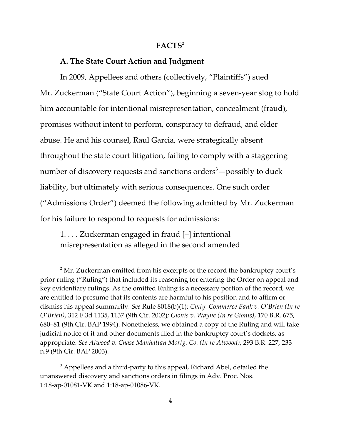### **FACTS<sup>2</sup>**

## **A. The State Court Action and Judgment**

In 2009, Appellees and others (collectively, "Plaintiffs") sued Mr. Zuckerman ("State Court Action"), beginning a seven-year slog to hold him accountable for intentional misrepresentation, concealment (fraud), promises without intent to perform, conspiracy to defraud, and elder abuse. He and his counsel, Raul Garcia, were strategically absent throughout the state court litigation, failing to comply with a staggering number of discovery requests and sanctions orders $3$  - possibly to duck liability, but ultimately with serious consequences. One such order ("Admissions Order") deemed the following admitted by Mr. Zuckerman for his failure to respond to requests for admissions:

1. . . . Zuckerman engaged in fraud [–] intentional misrepresentation as alleged in the second amended

 $^2$  Mr. Zuckerman omitted from his excerpts of the record the bankruptcy court's prior ruling ("Ruling") that included its reasoning for entering the Order on appeal and key evidentiary rulings. As the omitted Ruling is a necessary portion of the record*,* we are entitled to presume that its contents are harmful to his position and to affirm or dismiss his appeal summarily. *See* Rule 8018(b)(1); *Cmty. Commerce Bank v. O'Brien (In re O'Brien)*, 312 F.3d 1135, 1137 (9th Cir. 2002)*; Gionis v. Wayne (In re Gionis)*, 170 B.R. 675, 680–81 (9th Cir. BAP 1994). Nonetheless, we obtained a copy of the Ruling and will take judicial notice of it and other documents filed in the bankruptcy court's dockets, as appropriate. *See Atwood v. Chase Manhattan Mortg. Co. (In re Atwood)*, 293 B.R. 227, 233 n.9 (9th Cir. BAP 2003).

 $^3$  Appellees and a third-party to this appeal, Richard Abel, detailed the unanswered discovery and sanctions orders in filings in Adv. Proc. Nos. 1:18-ap-01081-VK and 1:18-ap-01086-VK.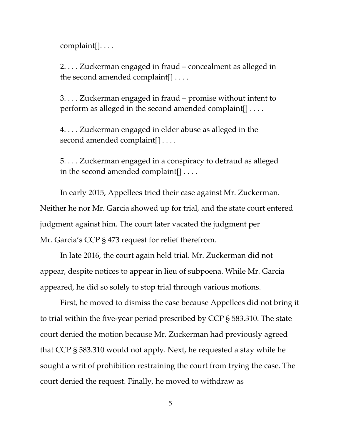complaint[]. . . .

2. . . . Zuckerman engaged in fraud – concealment as alleged in the second amended complaint[] . . . .

3. . . . Zuckerman engaged in fraud – promise without intent to perform as alleged in the second amended complaint[] . . . .

4. . . . Zuckerman engaged in elder abuse as alleged in the second amended complaint[] . . . .

5. . . . Zuckerman engaged in a conspiracy to defraud as alleged in the second amended complaint[] . . . .

In early 2015, Appellees tried their case against Mr. Zuckerman. Neither he nor Mr. Garcia showed up for trial, and the state court entered judgment against him. The court later vacated the judgment per Mr. Garcia's CCP § 473 request for relief therefrom.

In late 2016, the court again held trial. Mr. Zuckerman did not appear, despite notices to appear in lieu of subpoena. While Mr. Garcia appeared, he did so solely to stop trial through various motions.

First, he moved to dismiss the case because Appellees did not bring it to trial within the five-year period prescribed by CCP § 583.310. The state court denied the motion because Mr. Zuckerman had previously agreed that CCP § 583.310 would not apply. Next, he requested a stay while he sought a writ of prohibition restraining the court from trying the case. The court denied the request. Finally, he moved to withdraw as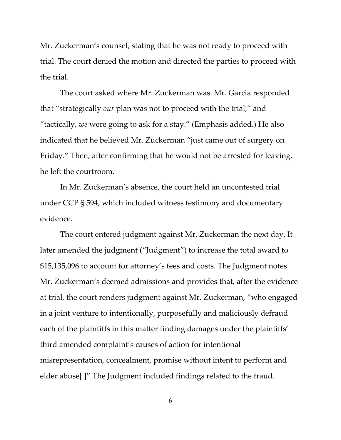Mr. Zuckerman's counsel, stating that he was not ready to proceed with trial. The court denied the motion and directed the parties to proceed with the trial.

The court asked where Mr. Zuckerman was. Mr. Garcia responded that "strategically *our* plan was not to proceed with the trial," and "tactically, *we* were going to ask for a stay." (Emphasis added.) He also indicated that he believed Mr. Zuckerman "just came out of surgery on Friday." Then, after confirming that he would not be arrested for leaving, he left the courtroom.

In Mr. Zuckerman's absence, the court held an uncontested trial under CCP § 594, which included witness testimony and documentary evidence.

The court entered judgment against Mr. Zuckerman the next day. It later amended the judgment ("Judgment") to increase the total award to \$15,135,096 to account for attorney's fees and costs. The Judgment notes Mr. Zuckerman's deemed admissions and provides that, after the evidence at trial, the court renders judgment against Mr. Zuckerman, "who engaged in a joint venture to intentionally, purposefully and maliciously defraud each of the plaintiffs in this matter finding damages under the plaintiffs' third amended complaint's causes of action for intentional misrepresentation, concealment, promise without intent to perform and elder abuse[.]" The Judgment included findings related to the fraud.

6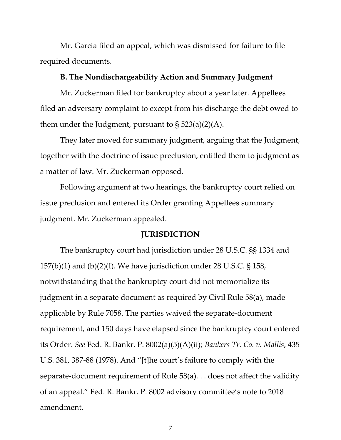Mr. Garcia filed an appeal, which was dismissed for failure to file required documents.

## **B. The Nondischargeability Action and Summary Judgment**

Mr. Zuckerman filed for bankruptcy about a year later. Appellees filed an adversary complaint to except from his discharge the debt owed to them under the Judgment, pursuant to  $\S$  523(a)(2)(A).

They later moved for summary judgment, arguing that the Judgment, together with the doctrine of issue preclusion, entitled them to judgment as a matter of law. Mr. Zuckerman opposed.

Following argument at two hearings, the bankruptcy court relied on issue preclusion and entered its Order granting Appellees summary judgment. Mr. Zuckerman appealed.

### **JURISDICTION**

The bankruptcy court had jurisdiction under 28 U.S.C. §§ 1334 and 157(b)(1) and (b)(2)(I). We have jurisdiction under 28 U.S.C. § 158, notwithstanding that the bankruptcy court did not memorialize its judgment in a separate document as required by Civil Rule 58(a), made applicable by Rule 7058. The parties waived the separate-document requirement, and 150 days have elapsed since the bankruptcy court entered its Order. *See* Fed. R. Bankr. P. 8002(a)(5)(A)(ii); *Bankers Tr. Co. v. Mallis*, 435 U.S. 381, 387-88 (1978). And "[t]he court's failure to comply with the separate-document requirement of Rule 58(a). . . does not affect the validity of an appeal." Fed. R. Bankr. P. 8002 advisory committee's note to 2018 amendment.

7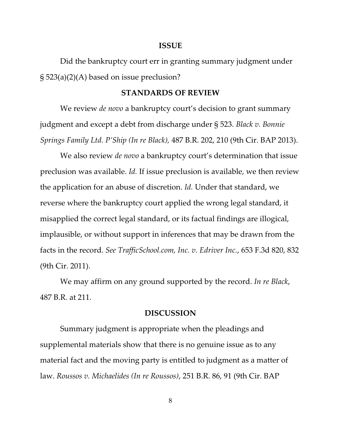#### **ISSUE**

Did the bankruptcy court err in granting summary judgment under § 523(a)(2)(A) based on issue preclusion?

### **STANDARDS OF REVIEW**

We review *de novo* a bankruptcy court's decision to grant summary judgment and except a debt from discharge under § 523. *Black v. Bonnie Springs Family Ltd. P'Ship (In re Black),* 487 B.R. 202, 210 (9th Cir. BAP 2013).

We also review *de novo* a bankruptcy court's determination that issue preclusion was available. *Id.* If issue preclusion is available, we then review the application for an abuse of discretion. *Id.* Under that standard, we reverse where the bankruptcy court applied the wrong legal standard, it misapplied the correct legal standard, or its factual findings are illogical, implausible, or without support in inferences that may be drawn from the facts in the record. *See TrafficSchool.com, Inc. v. Edriver Inc.*, 653 F.3d 820, 832 (9th Cir. 2011).

We may affirm on any ground supported by the record. *In re Black*, 487 B.R. at 211.

#### **DISCUSSION**

Summary judgment is appropriate when the pleadings and supplemental materials show that there is no genuine issue as to any material fact and the moving party is entitled to judgment as a matter of law. *Roussos v. Michaelides (In re Roussos)*, 251 B.R. 86, 91 (9th Cir. BAP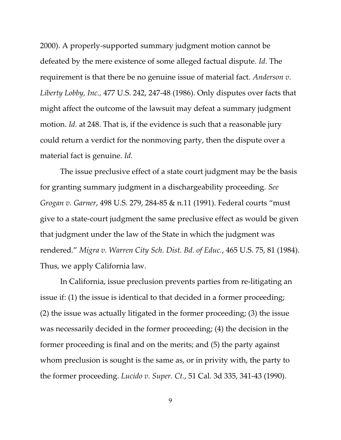2000). A properly-supported summary judgment motion cannot be defeated by the mere existence of some alleged factual dispute. *Id*. The requirement is that there be no genuine issue of material fact. *Anderson v. Liberty Lobby, Inc.,* 477 U.S. 242, 247-48 (1986). Only disputes over facts that might affect the outcome of the lawsuit may defeat a summary judgment motion. *Id.* at 248. That is, if the evidence is such that a reasonable jury could return a verdict for the nonmoving party, then the dispute over a material fact is genuine. *Id.*

The issue preclusive effect of a state court judgment may be the basis for granting summary judgment in a dischargeability proceeding. *See Grogan v. Garner*, 498 U.S. 279, 284-85 & n.11 (1991). Federal courts "must give to a state-court judgment the same preclusive effect as would be given that judgment under the law of the State in which the judgment was rendered." *Migra v. Warren City Sch. Dist. Bd. of Educ.*, 465 U.S. 75, 81 (1984). Thus, we apply California law.

In California, issue preclusion prevents parties from re-litigating an issue if: (1) the issue is identical to that decided in a former proceeding; (2) the issue was actually litigated in the former proceeding; (3) the issue was necessarily decided in the former proceeding; (4) the decision in the former proceeding is final and on the merits; and (5) the party against whom preclusion is sought is the same as, or in privity with, the party to the former proceeding. *Lucido v. Super. Ct.*, 51 Cal. 3d 335, 341-43 (1990).

9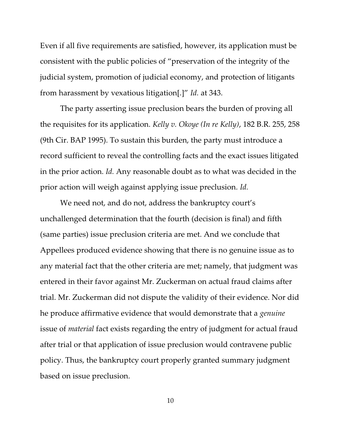Even if all five requirements are satisfied, however, its application must be consistent with the public policies of "preservation of the integrity of the judicial system, promotion of judicial economy, and protection of litigants from harassment by vexatious litigation[.]" *Id.* at 343.

The party asserting issue preclusion bears the burden of proving all the requisites for its application. *Kelly v. Okoye (In re Kelly)*, 182 B.R. 255, 258 (9th Cir. BAP 1995). To sustain this burden, the party must introduce a record sufficient to reveal the controlling facts and the exact issues litigated in the prior action. *Id.* Any reasonable doubt as to what was decided in the prior action will weigh against applying issue preclusion. *Id.*

We need not, and do not, address the bankruptcy court's unchallenged determination that the fourth (decision is final) and fifth (same parties) issue preclusion criteria are met. And we conclude that Appellees produced evidence showing that there is no genuine issue as to any material fact that the other criteria are met; namely, that judgment was entered in their favor against Mr. Zuckerman on actual fraud claims after trial. Mr. Zuckerman did not dispute the validity of their evidence. Nor did he produce affirmative evidence that would demonstrate that a *genuine* issue of *material* fact exists regarding the entry of judgment for actual fraud after trial or that application of issue preclusion would contravene public policy. Thus, the bankruptcy court properly granted summary judgment based on issue preclusion.

10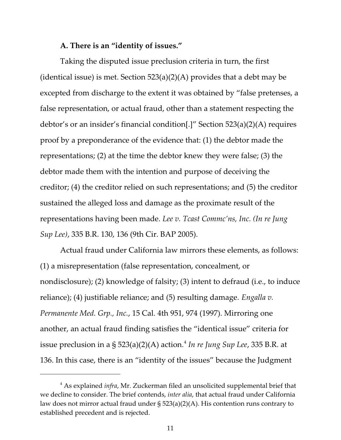### **A. There is an "identity of issues."**

Taking the disputed issue preclusion criteria in turn, the first (identical issue) is met. Section  $523(a)(2)(A)$  provides that a debt may be excepted from discharge to the extent it was obtained by "false pretenses, a false representation, or actual fraud, other than a statement respecting the debtor's or an insider's financial condition[.]" Section 523(a)(2)(A) requires proof by a preponderance of the evidence that: (1) the debtor made the representations; (2) at the time the debtor knew they were false; (3) the debtor made them with the intention and purpose of deceiving the creditor; (4) the creditor relied on such representations; and (5) the creditor sustained the alleged loss and damage as the proximate result of the representations having been made. *Lee v. Tcast Commc'ns, Inc. (In re Jung Sup Lee)*, 335 B.R. 130, 136 (9th Cir. BAP 2005).

Actual fraud under California law mirrors these elements, as follows: (1) a misrepresentation (false representation, concealment, or nondisclosure); (2) knowledge of falsity; (3) intent to defraud (i.e., to induce reliance); (4) justifiable reliance; and (5) resulting damage. *Engalla v. Permanente Med. Grp., Inc.*, 15 Cal. 4th 951, 974 (1997). Mirroring one another, an actual fraud finding satisfies the "identical issue" criteria for issue preclusion in a § 523(a)(2)(A) action.<sup>4</sup> I*n re Jung Sup Lee,* 335 B.R. at 136. In this case, there is an "identity of the issues" because the Judgment

<sup>4</sup> As explained *infra*, Mr. Zuckerman filed an unsolicited supplemental brief that we decline to consider. The brief contends, *inter alia*, that actual fraud under California law does not mirror actual fraud under § 523(a)(2)(A). His contention runs contrary to established precedent and is rejected.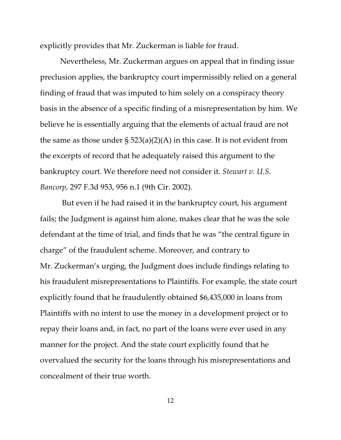explicitly provides that Mr. Zuckerman is liable for fraud.

Nevertheless, Mr. Zuckerman argues on appeal that in finding issue preclusion applies, the bankruptcy court impermissibly relied on a general finding of fraud that was imputed to him solely on a conspiracy theory basis in the absence of a specific finding of a misrepresentation by him. We believe he is essentially arguing that the elements of actual fraud are not the same as those under  $\S 523(a)(2)(A)$  in this case. It is not evident from the excerpts of record that he adequately raised this argument to the bankruptcy court. We therefore need not consider it. *Stewart v. U.S. Bancorp*, 297 F.3d 953, 956 n.1 (9th Cir. 2002).

 But even if he had raised it in the bankruptcy court, his argument fails; the Judgment is against him alone, makes clear that he was the sole defendant at the time of trial, and finds that he was "the central figure in charge" of the fraudulent scheme. Moreover, and contrary to Mr. Zuckerman's urging, the Judgment does include findings relating to his fraudulent misrepresentations to Plaintiffs. For example, the state court explicitly found that he fraudulently obtained \$6,435,000 in loans from Plaintiffs with no intent to use the money in a development project or to repay their loans and, in fact, no part of the loans were ever used in any manner for the project. And the state court explicitly found that he overvalued the security for the loans through his misrepresentations and concealment of their true worth.

12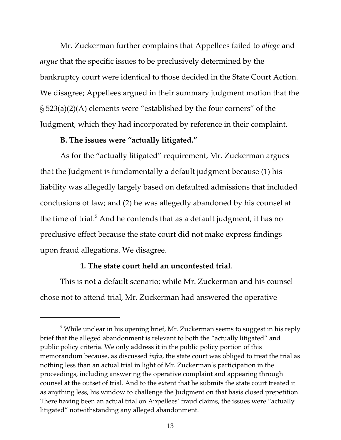Mr. Zuckerman further complains that Appellees failed to *allege* and *argue* that the specific issues to be preclusively determined by the bankruptcy court were identical to those decided in the State Court Action. We disagree; Appellees argued in their summary judgment motion that the § 523(a)(2)(A) elements were "established by the four corners" of the Judgment, which they had incorporated by reference in their complaint.

## **B. The issues were "actually litigated."**

As for the "actually litigated" requirement, Mr. Zuckerman argues that the Judgment is fundamentally a default judgment because (1) his liability was allegedly largely based on defaulted admissions that included conclusions of law; and (2) he was allegedly abandoned by his counsel at the time of trial. $^5$  And he contends that as a default judgment, it has no preclusive effect because the state court did not make express findings upon fraud allegations. We disagree.

## **1. The state court held an uncontested trial**.

This is not a default scenario; while Mr. Zuckerman and his counsel chose not to attend trial, Mr. Zuckerman had answered the operative

 $^5$  While unclear in his opening brief, Mr. Zuckerman seems to suggest in his reply brief that the alleged abandonment is relevant to both the "actually litigated" and public policy criteria. We only address it in the public policy portion of this memorandum because, as discussed *infra*, the state court was obliged to treat the trial as nothing less than an actual trial in light of Mr. Zuckerman's participation in the proceedings, including answering the operative complaint and appearing through counsel at the outset of trial. And to the extent that he submits the state court treated it as anything less, his window to challenge the Judgment on that basis closed prepetition. There having been an actual trial on Appellees' fraud claims, the issues were "actually litigated" notwithstanding any alleged abandonment.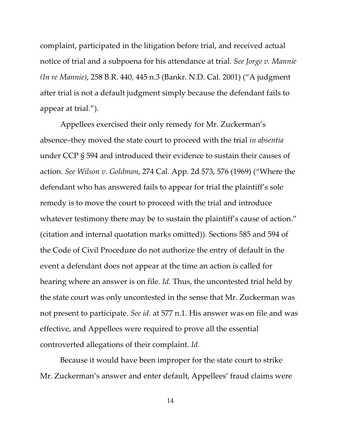complaint, participated in the litigation before trial, and received actual notice of trial and a subpoena for his attendance at trial. *See Jorge v. Mannie (In re Mannie)*, 258 B.R. 440, 445 n.3 (Bankr. N.D. Cal. 2001) ("A judgment after trial is not a default judgment simply because the defendant fails to appear at trial.").

Appellees exercised their only remedy for Mr. Zuckerman's absence–they moved the state court to proceed with the trial *in absentia* under CCP § 594 and introduced their evidence to sustain their causes of action. *See Wilson v. Goldman*, 274 Cal. App. 2d 573, 576 (1969) ("Where the defendant who has answered fails to appear for trial the plaintiff's sole remedy is to move the court to proceed with the trial and introduce whatever testimony there may be to sustain the plaintiff's cause of action." (citation and internal quotation marks omitted)). Sections 585 and 594 of the Code of Civil Procedure do not authorize the entry of default in the event a defendant does not appear at the time an action is called for hearing where an answer is on file. *Id.* Thus, the uncontested trial held by the state court was only uncontested in the sense that Mr. Zuckerman was not present to participate. *See id.* at 577 n.1. His answer was on file and was effective, and Appellees were required to prove all the essential controverted allegations of their complaint. *Id*.

Because it would have been improper for the state court to strike Mr. Zuckerman's answer and enter default, Appellees' fraud claims were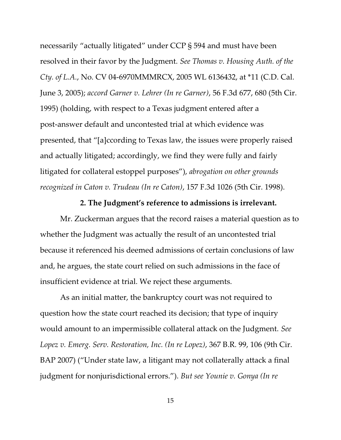necessarily "actually litigated" under CCP § 594 and must have been resolved in their favor by the Judgment. *See Thomas v. Housing Auth. of the Cty. of L.A.*, No. CV 04-6970MMMRCX, 2005 WL 6136432, at \*11 (C.D. Cal. June 3, 2005); *accord Garner v. Lehrer (In re Garner)*, 56 F.3d 677, 680 (5th Cir. 1995) (holding, with respect to a Texas judgment entered after a post-answer default and uncontested trial at which evidence was presented, that "[a]ccording to Texas law, the issues were properly raised and actually litigated; accordingly, we find they were fully and fairly litigated for collateral estoppel purposes"), *abrogation on other grounds recognized in Caton v. Trudeau (In re Caton)*, 157 F.3d 1026 (5th Cir. 1998).

### **2. The Judgment's reference to admissions is irrelevant.**

Mr. Zuckerman argues that the record raises a material question as to whether the Judgment was actually the result of an uncontested trial because it referenced his deemed admissions of certain conclusions of law and, he argues, the state court relied on such admissions in the face of insufficient evidence at trial. We reject these arguments.

As an initial matter, the bankruptcy court was not required to question how the state court reached its decision; that type of inquiry would amount to an impermissible collateral attack on the Judgment. *See Lopez v. Emerg. Serv. Restoration, Inc. (In re Lopez)*, 367 B.R. 99, 106 (9th Cir. BAP 2007) ("Under state law, a litigant may not collaterally attack a final judgment for nonjurisdictional errors."). *But see Younie v. Gonya (In re*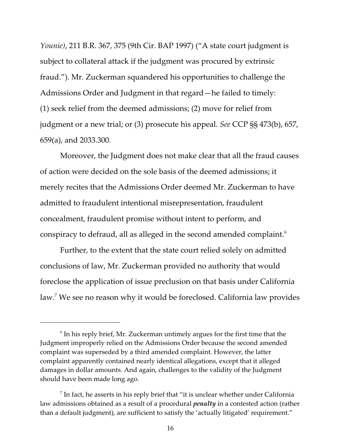*Younie)*, 211 B.R. 367, 375 (9th Cir. BAP 1997) ("A state court judgment is subject to collateral attack if the judgment was procured by extrinsic fraud."). Mr. Zuckerman squandered his opportunities to challenge the Admissions Order and Judgment in that regard—he failed to timely: (1) seek relief from the deemed admissions; (2) move for relief from judgment or a new trial; or (3) prosecute his appeal. *See* CCP §§ 473(b), 657, 659(a), and 2033.300.

Moreover, the Judgment does not make clear that all the fraud causes of action were decided on the sole basis of the deemed admissions; it merely recites that the Admissions Order deemed Mr. Zuckerman to have admitted to fraudulent intentional misrepresentation, fraudulent concealment, fraudulent promise without intent to perform, and conspiracy to defraud, all as alleged in the second amended complaint.<sup>6</sup>

Further, to the extent that the state court relied solely on admitted conclusions of law, Mr. Zuckerman provided no authority that would foreclose the application of issue preclusion on that basis under California law.<sup>7</sup> We see no reason why it would be foreclosed. California law provides

 $^6$  In his reply brief, Mr. Zuckerman untimely argues for the first time that the Judgment improperly relied on the Admissions Order because the second amended complaint was superseded by a third amended complaint. However, the latter complaint apparently contained nearly identical allegations, except that it alleged damages in dollar amounts. And again, challenges to the validity of the Judgment should have been made long ago.

 $^7$  In fact, he asserts in his reply brief that "it is unclear whether under California law admissions obtained as a result of a procedural *penalty* in a contested action (rather than a default judgment), are sufficient to satisfy the 'actually litigated' requirement."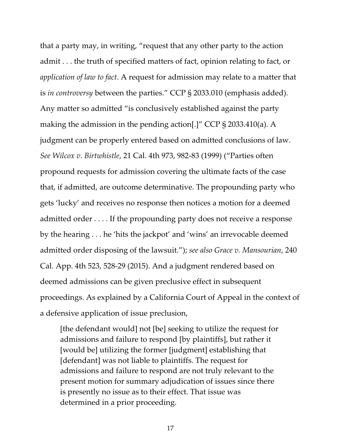that a party may, in writing, "request that any other party to the action admit . . . the truth of specified matters of fact, opinion relating to fact, or *application of law to fact*. A request for admission may relate to a matter that is *in controversy* between the parties." CCP § 2033.010 (emphasis added). Any matter so admitted "is conclusively established against the party making the admission in the pending action[.]" CCP § 2033.410(a). A judgment can be properly entered based on admitted conclusions of law. *See Wilcox v. Birtwhistle*, 21 Cal. 4th 973, 982-83 (1999) ("Parties often propound requests for admission covering the ultimate facts of the case that, if admitted, are outcome determinative. The propounding party who gets 'lucky' and receives no response then notices a motion for a deemed admitted order . . . . If the propounding party does not receive a response by the hearing . . . he 'hits the jackpot' and 'wins' an irrevocable deemed admitted order disposing of the lawsuit."); *see also Grace v. Mansourian*, 240 Cal. App. 4th 523, 528-29 (2015). And a judgment rendered based on deemed admissions can be given preclusive effect in subsequent proceedings. As explained by a California Court of Appeal in the context of a defensive application of issue preclusion,

[the defendant would] not [be] seeking to utilize the request for admissions and failure to respond [by plaintiffs], but rather it [would be] utilizing the former [judgment] establishing that [defendant] was not liable to plaintiffs. The request for admissions and failure to respond are not truly relevant to the present motion for summary adjudication of issues since there is presently no issue as to their effect. That issue was determined in a prior proceeding.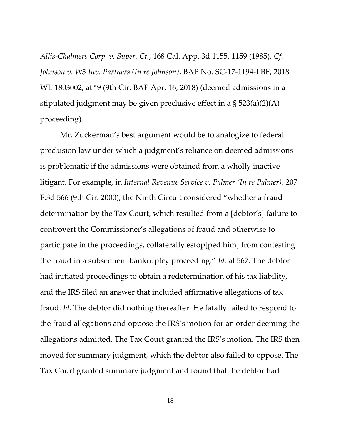*Allis-Chalmers Corp. v. Super. Ct.*, 168 Cal. App. 3d 1155, 1159 (1985). *Cf. Johnson v. W3 Inv. Partners (In re Johnson)*, BAP No. SC-17-1194-LBF, 2018 WL 1803002, at \*9 (9th Cir. BAP Apr. 16, 2018) (deemed admissions in a stipulated judgment may be given preclusive effect in a § 523(a)(2)(A) proceeding).

Mr. Zuckerman's best argument would be to analogize to federal preclusion law under which a judgment's reliance on deemed admissions is problematic if the admissions were obtained from a wholly inactive litigant. For example, in *Internal Revenue Service v. Palmer (In re Palmer)*, 207 F.3d 566 (9th Cir. 2000), the Ninth Circuit considered "whether a fraud determination by the Tax Court, which resulted from a [debtor's] failure to controvert the Commissioner's allegations of fraud and otherwise to participate in the proceedings, collaterally estop[ped him] from contesting the fraud in a subsequent bankruptcy proceeding." *Id.* at 567. The debtor had initiated proceedings to obtain a redetermination of his tax liability, and the IRS filed an answer that included affirmative allegations of tax fraud. *Id.* The debtor did nothing thereafter. He fatally failed to respond to the fraud allegations and oppose the IRS's motion for an order deeming the allegations admitted. The Tax Court granted the IRS's motion. The IRS then moved for summary judgment, which the debtor also failed to oppose. The Tax Court granted summary judgment and found that the debtor had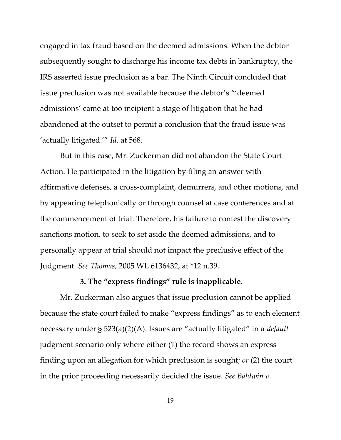engaged in tax fraud based on the deemed admissions. When the debtor subsequently sought to discharge his income tax debts in bankruptcy, the IRS asserted issue preclusion as a bar. The Ninth Circuit concluded that issue preclusion was not available because the debtor's "'deemed admissions' came at too incipient a stage of litigation that he had abandoned at the outset to permit a conclusion that the fraud issue was 'actually litigated.'" *Id.* at 568.

But in this case, Mr. Zuckerman did not abandon the State Court Action. He participated in the litigation by filing an answer with affirmative defenses, a cross-complaint, demurrers, and other motions, and by appearing telephonically or through counsel at case conferences and at the commencement of trial. Therefore, his failure to contest the discovery sanctions motion, to seek to set aside the deemed admissions, and to personally appear at trial should not impact the preclusive effect of the Judgment. *See Thomas*, 2005 WL 6136432, at \*12 n.39.

#### **3. The "express findings" rule is inapplicable.**

Mr. Zuckerman also argues that issue preclusion cannot be applied because the state court failed to make "express findings" as to each element necessary under § 523(a)(2)(A). Issues are "actually litigated" in a *default* judgment scenario only where either (1) the record shows an express finding upon an allegation for which preclusion is sought; *or* (2) the court in the prior proceeding necessarily decided the issue. *See Baldwin v.*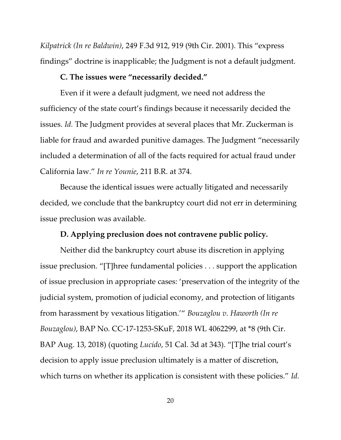*Kilpatrick (In re Baldwin)*, 249 F.3d 912, 919 (9th Cir. 2001). This "express findings" doctrine is inapplicable; the Judgment is not a default judgment.

## **C. The issues were "necessarily decided."**

Even if it were a default judgment, we need not address the sufficiency of the state court's findings because it necessarily decided the issues. *Id.* The Judgment provides at several places that Mr. Zuckerman is liable for fraud and awarded punitive damages. The Judgment "necessarily included a determination of all of the facts required for actual fraud under California law." *In re Younie*, 211 B.R. at 374.

Because the identical issues were actually litigated and necessarily decided, we conclude that the bankruptcy court did not err in determining issue preclusion was available.

## **D. Applying preclusion does not contravene public policy.**

Neither did the bankruptcy court abuse its discretion in applying issue preclusion. "[T]hree fundamental policies . . . support the application of issue preclusion in appropriate cases: 'preservation of the integrity of the judicial system, promotion of judicial economy, and protection of litigants from harassment by vexatious litigation.'" *Bouzaglou v. Haworth (In re Bouzaglou)*, BAP No. CC-17-1253-SKuF, 2018 WL 4062299, at \*8 (9th Cir. BAP Aug. 13, 2018) (quoting *Lucido*, 51 Cal. 3d at 343). "[T]he trial court's decision to apply issue preclusion ultimately is a matter of discretion, which turns on whether its application is consistent with these policies." *Id.*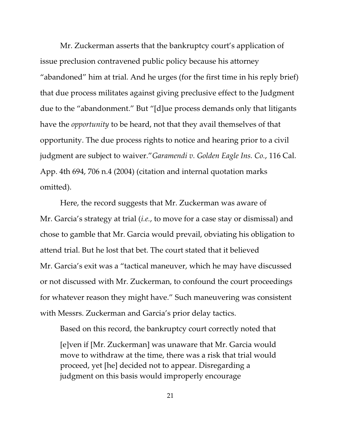Mr. Zuckerman asserts that the bankruptcy court's application of issue preclusion contravened public policy because his attorney "abandoned" him at trial. And he urges (for the first time in his reply brief) that due process militates against giving preclusive effect to the Judgment due to the "abandonment." But "[d]ue process demands only that litigants have the *opportunity* to be heard, not that they avail themselves of that opportunity. The due process rights to notice and hearing prior to a civil judgment are subject to waiver."*Garamendi v. Golden Eagle Ins. Co.*, 116 Cal. App. 4th 694, 706 n.4 (2004) (citation and internal quotation marks omitted).

Here, the record suggests that Mr. Zuckerman was aware of Mr. Garcia's strategy at trial (*i.e.*, to move for a case stay or dismissal) and chose to gamble that Mr. Garcia would prevail, obviating his obligation to attend trial. But he lost that bet. The court stated that it believed Mr. Garcia's exit was a "tactical maneuver, which he may have discussed or not discussed with Mr. Zuckerman, to confound the court proceedings for whatever reason they might have." Such maneuvering was consistent with Messrs. Zuckerman and Garcia's prior delay tactics.

Based on this record, the bankruptcy court correctly noted that [e]ven if [Mr. Zuckerman] was unaware that Mr. Garcia would move to withdraw at the time, there was a risk that trial would proceed, yet [he] decided not to appear. Disregarding a judgment on this basis would improperly encourage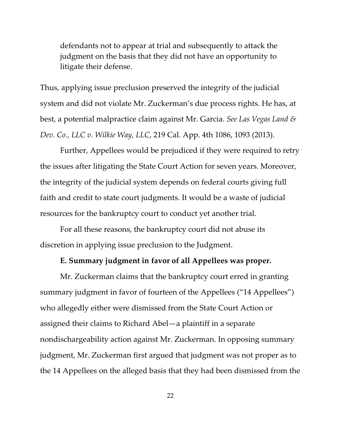defendants not to appear at trial and subsequently to attack the judgment on the basis that they did not have an opportunity to litigate their defense.

Thus, applying issue preclusion preserved the integrity of the judicial system and did not violate Mr. Zuckerman's due process rights. He has, at best, a potential malpractice claim against Mr. Garcia. *See Las Vegas Land & Dev. Co., LLC v. Wilkie Way, LLC*, 219 Cal. App. 4th 1086, 1093 (2013).

Further, Appellees would be prejudiced if they were required to retry the issues after litigating the State Court Action for seven years. Moreover, the integrity of the judicial system depends on federal courts giving full faith and credit to state court judgments. It would be a waste of judicial resources for the bankruptcy court to conduct yet another trial.

For all these reasons, the bankruptcy court did not abuse its discretion in applying issue preclusion to the Judgment.

## **E. Summary judgment in favor of all Appellees was proper.**

Mr. Zuckerman claims that the bankruptcy court erred in granting summary judgment in favor of fourteen of the Appellees ("14 Appellees") who allegedly either were dismissed from the State Court Action or assigned their claims to Richard Abel—a plaintiff in a separate nondischargeability action against Mr. Zuckerman. In opposing summary judgment, Mr. Zuckerman first argued that judgment was not proper as to the 14 Appellees on the alleged basis that they had been dismissed from the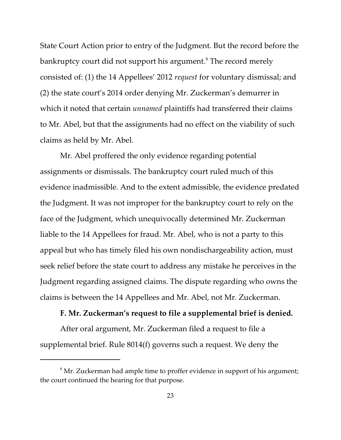State Court Action prior to entry of the Judgment. But the record before the bankruptcy court did not support his argument.<sup>8</sup> The record merely consisted of: (1) the 14 Appellees' 2012 *request* for voluntary dismissal; and (2) the state court's 2014 order denying Mr. Zuckerman's demurrer in which it noted that certain *unnamed* plaintiffs had transferred their claims to Mr. Abel, but that the assignments had no effect on the viability of such claims as held by Mr. Abel.

Mr. Abel proffered the only evidence regarding potential assignments or dismissals. The bankruptcy court ruled much of this evidence inadmissible. And to the extent admissible, the evidence predated the Judgment. It was not improper for the bankruptcy court to rely on the face of the Judgment, which unequivocally determined Mr. Zuckerman liable to the 14 Appellees for fraud. Mr. Abel, who is not a party to this appeal but who has timely filed his own nondischargeability action, must seek relief before the state court to address any mistake he perceives in the Judgment regarding assigned claims. The dispute regarding who owns the claims is between the 14 Appellees and Mr. Abel, not Mr. Zuckerman.

### **F. Mr. Zuckerman's request to file a supplemental brief is denied.**

After oral argument, Mr. Zuckerman filed a request to file a supplemental brief. Rule 8014(f) governs such a request. We deny the

 $^8$  Mr. Zuckerman had ample time to proffer evidence in support of his argument; the court continued the hearing for that purpose.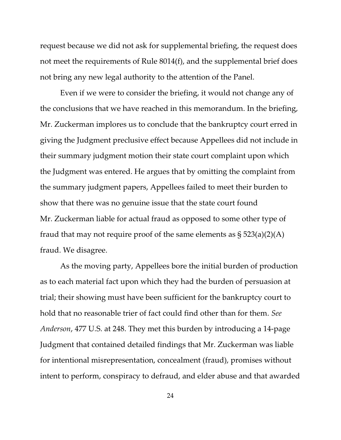request because we did not ask for supplemental briefing, the request does not meet the requirements of Rule 8014(f), and the supplemental brief does not bring any new legal authority to the attention of the Panel.

Even if we were to consider the briefing, it would not change any of the conclusions that we have reached in this memorandum. In the briefing, Mr. Zuckerman implores us to conclude that the bankruptcy court erred in giving the Judgment preclusive effect because Appellees did not include in their summary judgment motion their state court complaint upon which the Judgment was entered. He argues that by omitting the complaint from the summary judgment papers, Appellees failed to meet their burden to show that there was no genuine issue that the state court found Mr. Zuckerman liable for actual fraud as opposed to some other type of fraud that may not require proof of the same elements as  $\S 523(a)(2)(A)$ fraud. We disagree.

As the moving party, Appellees bore the initial burden of production as to each material fact upon which they had the burden of persuasion at trial; their showing must have been sufficient for the bankruptcy court to hold that no reasonable trier of fact could find other than for them. *See Anderson*, 477 U.S. at 248. They met this burden by introducing a 14-page Judgment that contained detailed findings that Mr. Zuckerman was liable for intentional misrepresentation, concealment (fraud), promises without intent to perform, conspiracy to defraud, and elder abuse and that awarded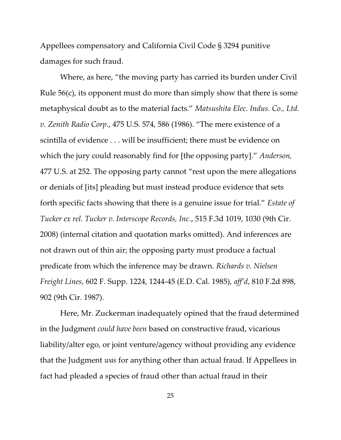Appellees compensatory and California Civil Code § 3294 punitive damages for such fraud.

Where, as here, "the moving party has carried its burden under Civil Rule 56(c), its opponent must do more than simply show that there is some metaphysical doubt as to the material facts." *Matsushita Elec. Indus. Co., Ltd. v. Zenith Radio Corp*., 475 U.S. 574, 586 (1986). "The mere existence of a scintilla of evidence . . . will be insufficient; there must be evidence on which the jury could reasonably find for [the opposing party]." *Anderson,* 477 U.S. at 252. The opposing party cannot "rest upon the mere allegations or denials of [its] pleading but must instead produce evidence that sets forth specific facts showing that there is a genuine issue for trial." *Estate of Tucker ex rel. Tucker v. Interscope Records, Inc.*, 515 F.3d 1019, 1030 (9th Cir. 2008) (internal citation and quotation marks omitted). And inferences are not drawn out of thin air; the opposing party must produce a factual predicate from which the inference may be drawn. *Richards v. Nielsen Freight Lines*, 602 F. Supp. 1224, 1244-45 (E.D. Cal. 1985), *aff'd*, 810 F.2d 898, 902 (9th Cir. 1987).

Here, Mr. Zuckerman inadequately opined that the fraud determined in the Judgment *could have been* based on constructive fraud, vicarious liability/alter ego, or joint venture/agency without providing any evidence that the Judgment *was* for anything other than actual fraud. If Appellees in fact had pleaded a species of fraud other than actual fraud in their